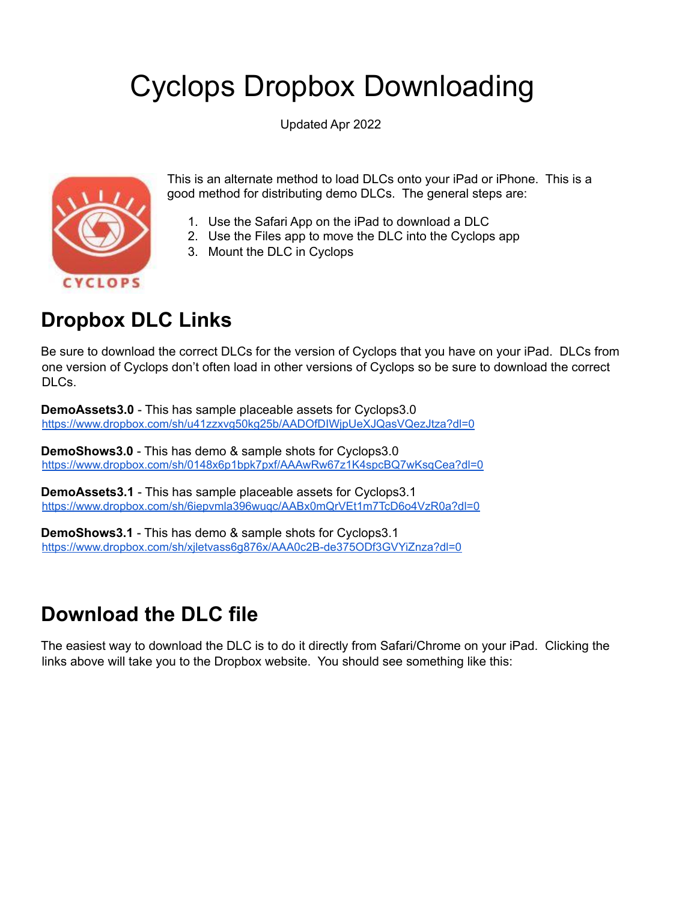# Cyclops Dropbox Downloading

Updated Apr 2022



This is an alternate method to load DLCs onto your iPad or iPhone. This is a good method for distributing demo DLCs. The general steps are:

- 1. Use the Safari App on the iPad to download a DLC
- 2. Use the Files app to move the DLC into the Cyclops app
- 3. Mount the DLC in Cyclops

### **Dropbox DLC Links**

Be sure to download the correct DLCs for the version of Cyclops that you have on your iPad. DLCs from one version of Cyclops don't often load in other versions of Cyclops so be sure to download the correct DLCs.

**DemoAssets3.0** - This has sample placeable assets for Cyclops3.0 <https://www.dropbox.com/sh/u41zzxvg50kg25b/AADOfDIWjpUeXJQasVQezJtza?dl=0>

**DemoShows3.0** - This has demo & sample shots for Cyclops3.0 <https://www.dropbox.com/sh/0148x6p1bpk7pxf/AAAwRw67z1K4spcBQ7wKsqCea?dl=0>

**DemoAssets3.1** - This has sample placeable assets for Cyclops3.1 <https://www.dropbox.com/sh/6iepvmla396wuqc/AABx0mQrVEt1m7TcD6o4VzR0a?dl=0>

**DemoShows3.1** - This has demo & sample shots for Cyclops3.1 <https://www.dropbox.com/sh/xjletvass6g876x/AAA0c2B-de375ODf3GVYiZnza?dl=0>

#### **Download the DLC file**

The easiest way to download the DLC is to do it directly from Safari/Chrome on your iPad. Clicking the links above will take you to the Dropbox website. You should see something like this: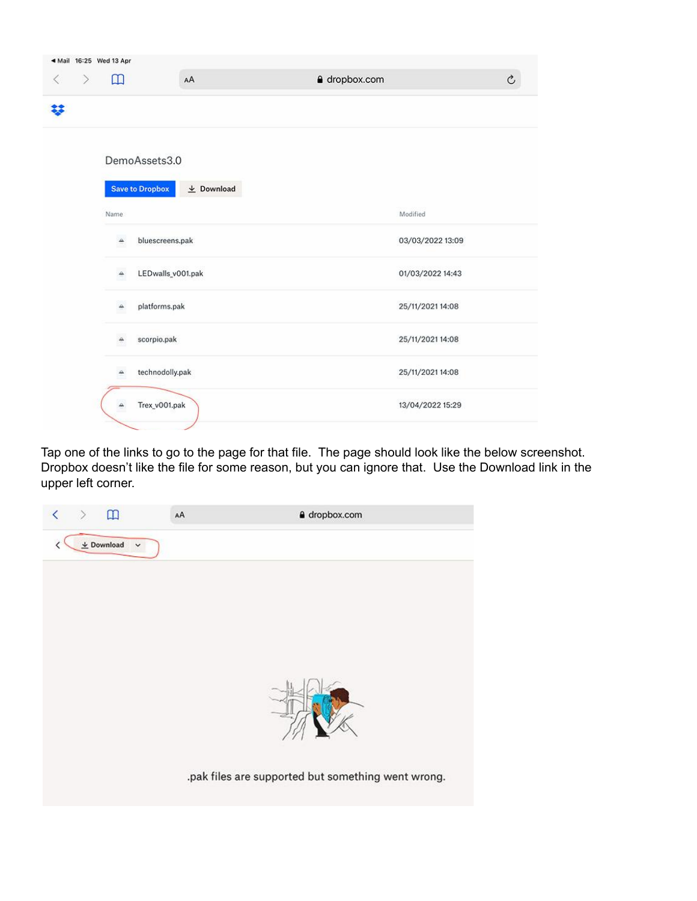|           |        | 4 Mail 16:25 Wed 13 Apr |                        |                  |               |                  |               |
|-----------|--------|-------------------------|------------------------|------------------|---------------|------------------|---------------|
| $\langle$ | $\geq$ | $\mathbbm{m}$           |                        | AA               | a dropbox.com |                  | $\rm \hat{C}$ |
| 鉹         |        |                         |                        |                  |               |                  |               |
|           |        |                         | DemoAssets3.0          |                  |               |                  |               |
|           |        |                         | <b>Save to Dropbox</b> | $\perp$ Download |               |                  |               |
|           |        | Name                    |                        |                  |               | Modified         |               |
|           |        | ▵                       | bluescreens.pak        |                  |               | 03/03/2022 13:09 |               |
|           |        | ≙                       | LEDwalls_v001.pak      |                  |               | 01/03/2022 14:43 |               |
|           |        | ≏                       | platforms.pak          |                  |               | 25/11/2021 14:08 |               |
|           |        |                         | scorpio.pak            |                  |               | 25/11/2021 14:08 |               |
|           |        | ዹ                       | technodolly.pak        |                  |               | 25/11/2021 14:08 |               |
|           |        |                         | Trex_v001.pak          |                  |               | 13/04/2022 15:29 |               |
|           |        |                         |                        |                  |               |                  |               |

Tap one of the links to go to the page for that file. The page should look like the below screenshot. Dropbox doesn't like the file for some reason, but you can ignore that. Use the Download link in the upper left corner.

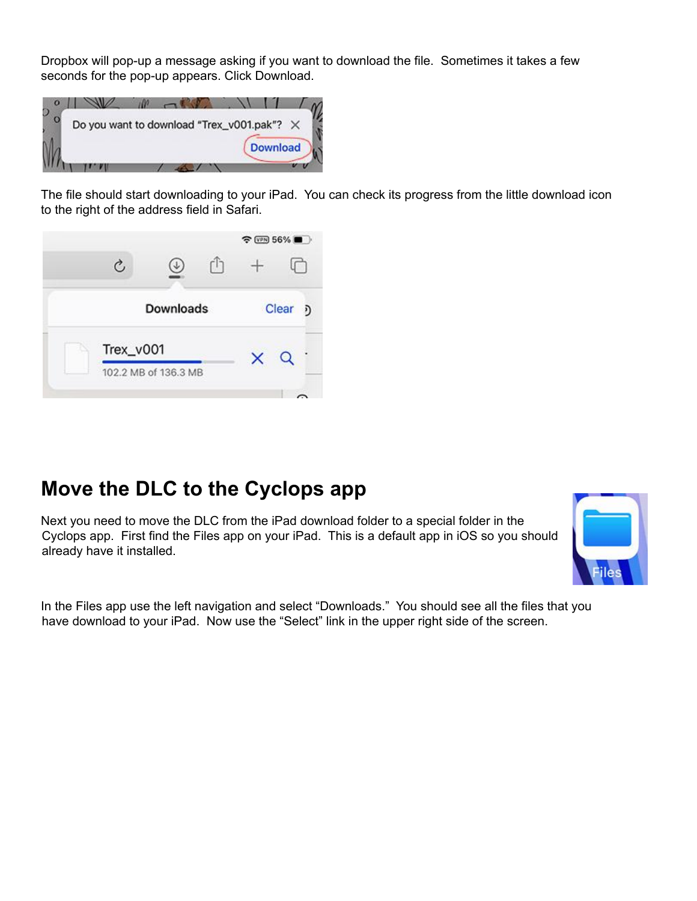Dropbox will pop-up a message asking if you want to download the file. Sometimes it takes a few seconds for the pop-up appears. Click Download.



The file should start downloading to your iPad. You can check its progress from the little download icon to the right of the address field in Safari.



#### **Move the DLC to the Cyclops app**

Next you need to move the DLC from the iPad download folder to a special folder in the Cyclops app. First find the Files app on your iPad. This is a default app in iOS so you should already have it installed.



In the Files app use the left navigation and select "Downloads." You should see all the files that you have download to your iPad. Now use the "Select" link in the upper right side of the screen.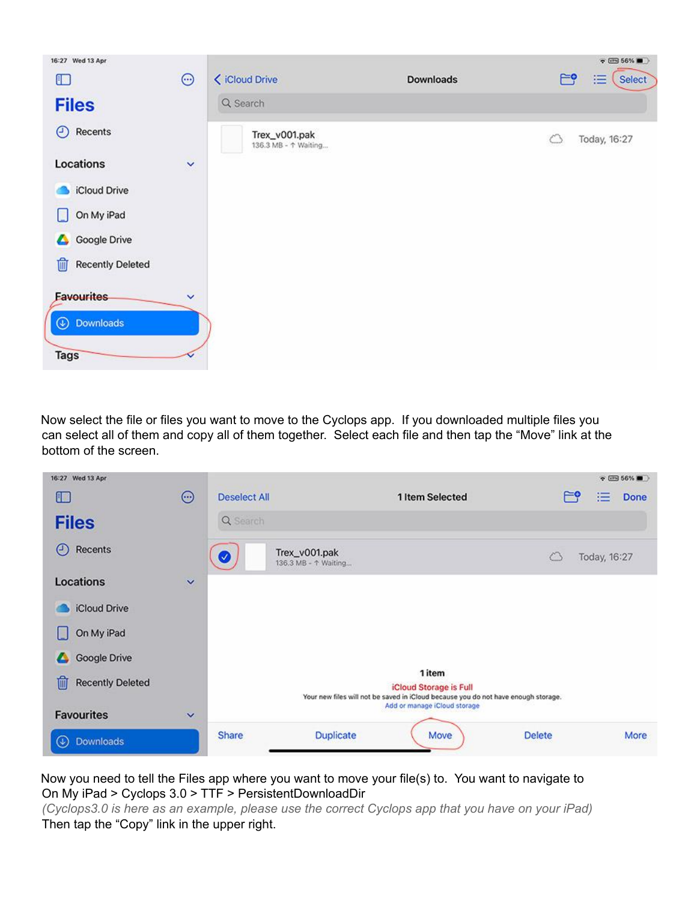

Now select the file or files you want to move to the Cyclops app. If you downloaded multiple files you can select all of them and copy all of them together. Select each file and then tap the "Move" link at the bottom of the screen.



Now you need to tell the Files app where you want to move your file(s) to. You want to navigate to On My iPad > Cyclops 3.0 > TTF > PersistentDownloadDir

*(Cyclops3.0 is here as an example, please use the correct Cyclops app that you have on your iPad)* Then tap the "Copy" link in the upper right.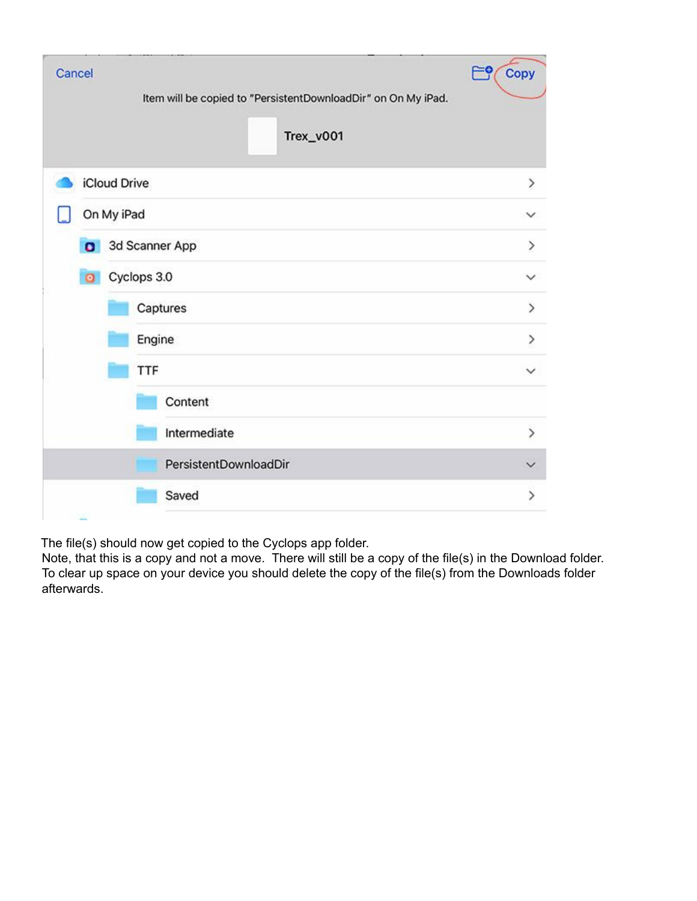| Cancel    | Item will be copied to "PersistentDownloadDir" on On My iPad.<br>Trex_v001 | Copy<br>م⊫    |
|-----------|----------------------------------------------------------------------------|---------------|
|           | iCloud Drive                                                               | $\,>\,$       |
|           | On My iPad                                                                 | $\checkmark$  |
| $\bullet$ | 3d Scanner App                                                             | $\,>\,$       |
| $\circ$   | Cyclops 3.0                                                                |               |
|           | Captures                                                                   | $\mathcal{P}$ |
|           | Engine                                                                     | >             |
|           | TTF                                                                        | $\checkmark$  |
|           | Content                                                                    |               |
|           | Intermediate                                                               | $\mathcal{P}$ |
|           | PersistentDownloadDir                                                      |               |
|           | Saved                                                                      | >             |

The file(s) should now get copied to the Cyclops app folder.

Note, that this is a copy and not a move. There will still be a copy of the file(s) in the Download folder. To clear up space on your device you should delete the copy of the file(s) from the Downloads folder afterwards.